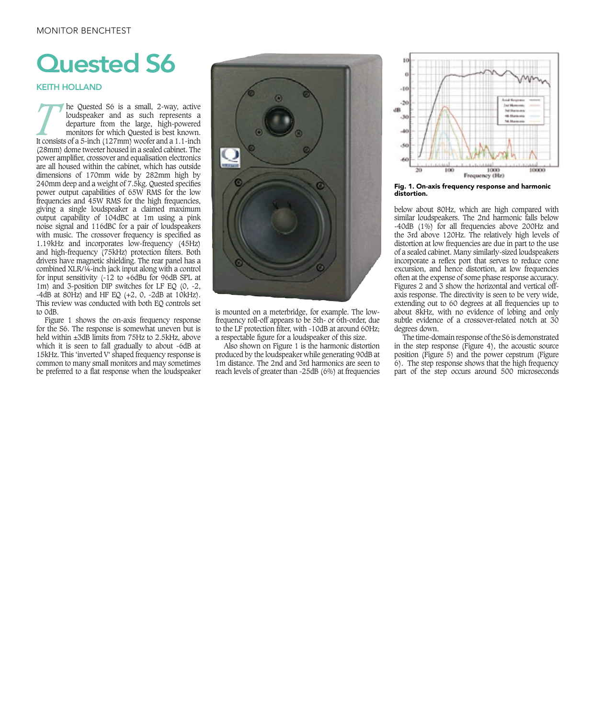## **Quested S6**

KEITH HOLLAND

**THE CHECK OF A SET ASSEMBED AND THE CONSERVANCE CONSIDENT A SURVEY CONSIST AND MORE THANGED AND THE CONSIST OF A 1.1-INCH THANGED ASSEMBED A 1.1-INCH THANGED ASSEMBLY A 1.1-INCH THANGED A 1.1-INCH THANGED ASSEMBLY A 1.1-I** loudspeaker and as such represents a departure from the large, high-powered monitors for which Quested is best known. (28mm) dome tweeter housed in a sealed cabinet. The power amplifier, crossover and equalisation electronics are all housed within the cabinet, which has outside dimensions of 170mm wide by 282mm high by 240mm deep and a weight of 7.5kg. Quested specifies power output capabilities of 65W RMS for the low frequencies and 45W RMS for the high frequencies, giving a single loudspeaker a claimed maximum output capability of 104dBC at 1m using a pink noise signal and 116dBC for a pair of loudspeakers with music. The crossover frequency is specified as 1.19kHz and incorporates low-frequency (45Hz) and high-frequency (75kHz) protection filters. Both drivers have magnetic shielding. The rear panel has a combined XLR/¼-inch jack input along with a control for input sensitivity  $(-12 \text{ to } +6$ dBu for 96dB SPL at 1m) and 3-position DIP switches for LF EQ (0, -2,  $-4dB$  at 80Hz) and HF EQ  $(+2, 0, -2dB$  at 10kHz). This review was conducted with both EQ controls set to 0dB.

Figure 1 shows the on-axis frequency response for the S6. The response is somewhat uneven but is held within  $\pm 3$ dB limits from 75Hz to 2.5kHz, above which it is seen to fall gradually to about -6dB at 15kHz. This 'inverted V' shaped frequency response is common to many small monitors and may sometimes be preferred to a flat response when the loudspeaker



is mounted on a meterbridge, for example. The lowfrequency roll-off appears to be 5th- or 6th-order, due to the LF protection filter, with -10dB at around 60Hz; a respectable figure for a loudspeaker of this size.

Also shown on Figure 1 is the harmonic distortion produced by the loudspeaker while generating 90dB at 1m distance. The 2nd and 3rd harmonics are seen to reach levels of greater than -25dB (6%) at frequencies



Fig. 1. On-axis frequency response and harmonic distortion.

below about 80Hz, which are high compared with similar loudspeakers. The 2nd harmonic falls below -40dB (1%) for all frequencies above 200Hz and the 3rd above 120Hz. The relatively high levels of distortion at low frequencies are due in part to the use of a sealed cabinet. Many similarly-sized loudspeakers incorporate a reflex port that serves to reduce cone excursion, and hence distortion, at low frequencies often at the expense of some phase response accuracy. Figures 2 and 3 show the horizontal and vertical offaxis response. The directivity is seen to be very wide, extending out to 60 degrees at all frequencies up to about 8kHz, with no evidence of lobing and only subtle evidence of a crossover-related notch at 30 degrees down.

The time-domain response of the S6 is demonstrated in the step response (Figure 4), the acoustic source position (Figure 5) and the power cepstrum (Figure 6). The step response shows that the high frequency part of the step occurs around 500 microseconds